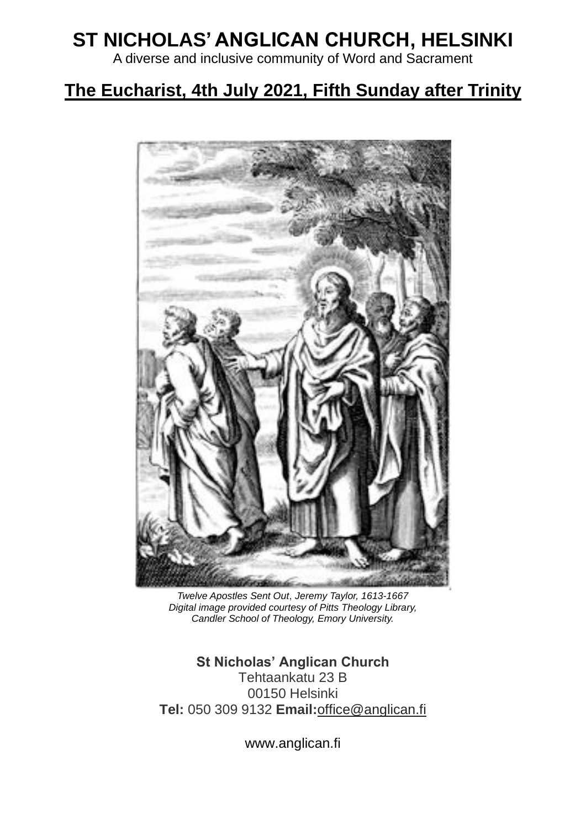# **ST NICHOLAS' ANGLICAN CHURCH, HELSINKI**

A diverse and inclusive community of Word and Sacrament

# **The Eucharist, 4th July 2021, Fifth Sunday after Trinity**



*Twelve Apostles Sent Out*, *Jeremy Taylor, 1613-1667 Digital image provided courtesy of Pitts Theology Library, Candler School of Theology, Emory University.*

**St Nicholas' Anglican Church** Tehtaankatu 23 B 00150 Helsinki **Tel:** 050 309 9132 **Email:**[office@anglican.fi](mailto:office@anglican.fi)

www.anglican.fi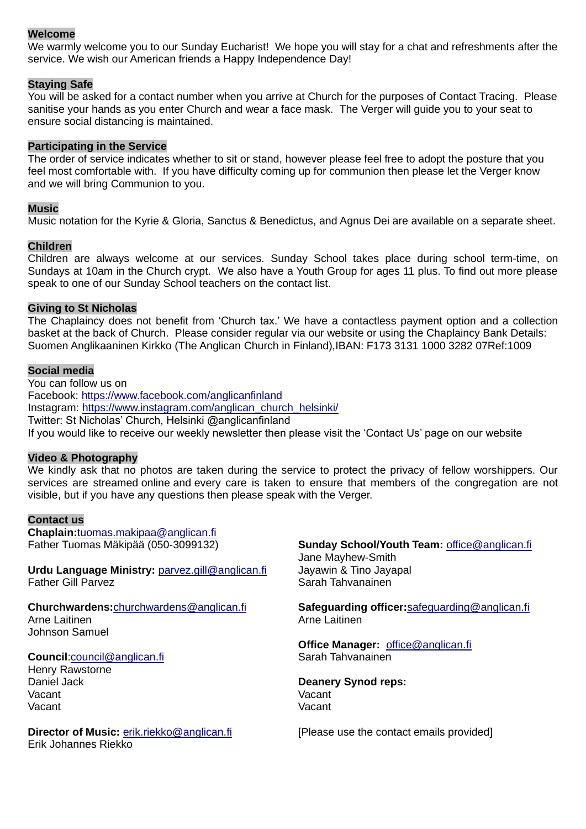#### **Welcome**

We warmly welcome you to our Sunday Eucharist! We hope you will stay for a chat and refreshments after the service. We wish our American friends a Happy Independence Day!

#### **Staying Safe**

You will be asked for a contact number when you arrive at Church for the purposes of Contact Tracing. Please sanitise your hands as you enter Church and wear a face mask. The Verger will guide you to your seat to ensure social distancing is maintained.

#### **Participating in the Service**

The order of service indicates whether to sit or stand, however please feel free to adopt the posture that you feel most comfortable with. If you have difficulty coming up for communion then please let the Verger know and we will bring Communion to you.

#### **Music**

Music notation for the Kyrie & Gloria, Sanctus & Benedictus, and Agnus Dei are available on a separate sheet.

#### **Children**

Children are always welcome at our services. Sunday School takes place during school term-time, on Sundays at 10am in the Church crypt. We also have a Youth Group for ages 11 plus. To find out more please speak to one of our Sunday School teachers on the contact list.

#### **Giving to St Nicholas**

The Chaplaincy does not benefit from 'Church tax.' We have a contactless payment option and a collection basket at the back of Church. Please consider regular via our website or using the Chaplaincy Bank Details: Suomen Anglikaaninen Kirkko (The Anglican Church in Finland),IBAN: F173 3131 1000 3282 07Ref:1009

#### **Social media**

You can follow us on Facebook:<https://www.facebook.com/anglicanfinland> Instagram: [https://www.instagram.com/anglican\\_church\\_helsinki/](https://www.instagram.com/anglican_church_helsinki/) Twitter: St Nicholas' Church, Helsinki @anglicanfinland If you would like to receive our weekly newsletter then please visit the 'Contact Us' page on our website

#### **Video & Photography**

We kindly ask that no photos are taken during the service to protect the privacy of fellow worshippers. Our services are streamed online and every care is taken to ensure that members of the congregation are not visible, but if you have any questions then please speak with the Verger.

#### **Contact us**

**Chaplain:**[tuomas.makipaa@anglican.fi](mailto:tuomas.makipaa@anglican.fi) Father Tuomas Mäkipää (050-3099132)

**Urdu Language Ministry:** [parvez.gill@anglican.fi](mailto:parvez.gill@anglican.fi) Father Gill Parvez

**Churchwardens:**[churchwardens@anglican.fi](mailto:churchwardens@anglican.fi) Arne Laitinen Johnson Samuel

#### **Council**[:council@anglican.fi](mailto:council@anglican.fi)

Henry Rawstorne Daniel Jack Vacant **Vacant** 

**Director of Music:** [erik.riekko@anglican.fi](mailto:erik.riekko@anglican.fi) Erik Johannes Riekko

**Sunday School/Youth Team:** [office@anglican.fi](mailto:office@anglican.fi) Jane Mayhew-Smith Jayawin & Tino Jayapal Sarah Tahvanainen

**Safeguarding officer:**[safeguarding@anglican.fi](mailto:safeguarding@anglican.fi) Arne Laitinen

**Office Manager:** [office@anglican.fi](mailto:office@anglican.fi) Sarah Tahvanainen

**Deanery Synod reps:** Vacant Vacant

[Please use the contact emails provided]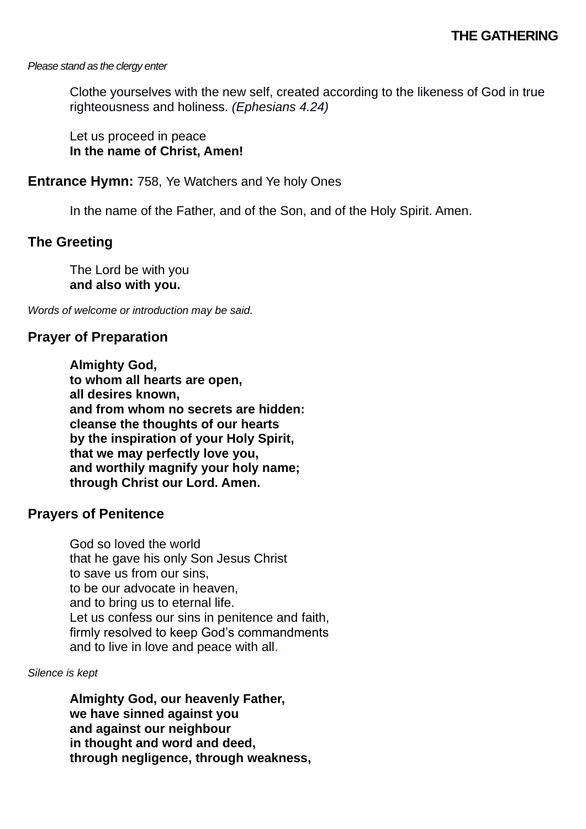*Please stand as the clergy enter*

Clothe yourselves with the new self, created according to the likeness of God in true righteousness and holiness. *(Ephesians 4.24)*

Let us proceed in peace **In the name of Christ, Amen!**

**Entrance Hymn:** 758, Ye Watchers and Ye holy Ones

In the name of the Father, and of the Son, and of the Holy Spirit. Amen.

# **The Greeting**

The Lord be with you **and also with you.**

*Words of welcome or introduction may be said.*

# **Prayer of Preparation**

**Almighty God, to whom all hearts are open, all desires known, and from whom no secrets are hidden: cleanse the thoughts of our hearts by the inspiration of your Holy Spirit, that we may perfectly love you, and worthily magnify your holy name; through Christ our Lord. Amen.**

# **Prayers of Penitence**

God so loved the world that he gave his only Son Jesus Christ to save us from our sins, to be our advocate in heaven, and to bring us to eternal life. Let us confess our sins in penitence and faith, firmly resolved to keep God's commandments and to live in love and peace with all.

*Silence is kept*

**Almighty God, our heavenly Father, we have sinned against you and against our neighbour in thought and word and deed, through negligence, through weakness,**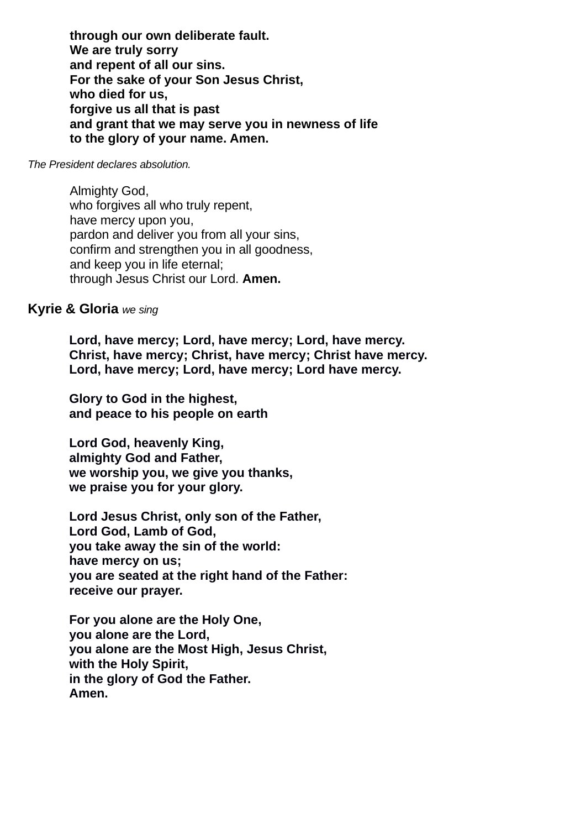**through our own deliberate fault. We are truly sorry and repent of all our sins. For the sake of your Son Jesus Christ, who died for us, forgive us all that is past and grant that we may serve you in newness of life to the glory of your name. Amen.** 

*The President declares absolution.*

Almighty God, who forgives all who truly repent, have mercy upon you, pardon and deliver you from all your sins, confirm and strengthen you in all goodness, and keep you in life eternal; through Jesus Christ our Lord. **Amen.**

### **Kyrie & Gloria** *we sing*

**Lord, have mercy; Lord, have mercy; Lord, have mercy. Christ, have mercy; Christ, have mercy; Christ have mercy. Lord, have mercy; Lord, have mercy; Lord have mercy.**

**Glory to God in the highest, and peace to his people on earth**

**Lord God, heavenly King, almighty God and Father, we worship you, we give you thanks, we praise you for your glory.**

**Lord Jesus Christ, only son of the Father, Lord God, Lamb of God, you take away the sin of the world: have mercy on us; you are seated at the right hand of the Father: receive our prayer.**

**For you alone are the Holy One, you alone are the Lord, you alone are the Most High, Jesus Christ, with the Holy Spirit, in the glory of God the Father. Amen.**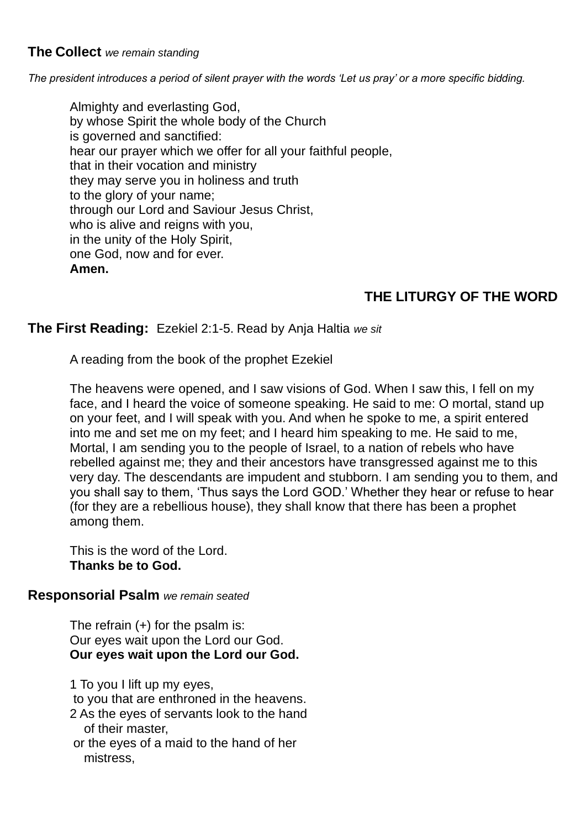# **The Collect** *we remain standing*

*The president introduces a period of silent prayer with the words 'Let us pray' or a more specific bidding.* 

Almighty and everlasting God, by whose Spirit the whole body of the Church is governed and sanctified: hear our prayer which we offer for all your faithful people, that in their vocation and ministry they may serve you in holiness and truth to the glory of your name; through our Lord and Saviour Jesus Christ, who is alive and reigns with you, in the unity of the Holy Spirit, one God, now and for ever. **Amen.** 

# **THE LITURGY OF THE WORD**

# **The First Reading:** Ezekiel 2:1-5. Read by Anja Haltia *we sit*

A reading from the book of the prophet Ezekiel

The heavens were opened, and I saw visions of God. When I saw this, I fell on my face, and I heard the voice of someone speaking. He said to me: O mortal, stand up on your feet, and I will speak with you. And when he spoke to me, a spirit entered into me and set me on my feet; and I heard him speaking to me. He said to me, Mortal, I am sending you to the people of Israel, to a nation of rebels who have rebelled against me; they and their ancestors have transgressed against me to this very day. The descendants are impudent and stubborn. I am sending you to them, and you shall say to them, 'Thus says the Lord GOD.' Whether they hear or refuse to hear (for they are a rebellious house), they shall know that there has been a prophet among them.

This is the word of the Lord. **Thanks be to God.**

# **Responsorial Psalm** *we remain seated*

The refrain  $(+)$  for the psalm is: Our eyes wait upon the Lord our God. **Our eyes wait upon the Lord our God.**

1 To you I lift up my eyes, to you that are enthroned in the heavens. 2 As the eyes of servants look to the hand of their master, or the eyes of a maid to the hand of her mistress,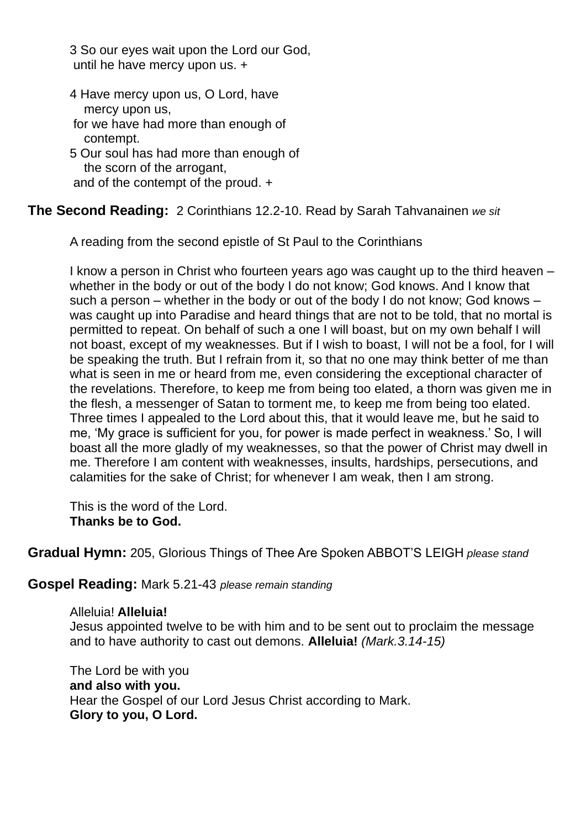3 So our eyes wait upon the Lord our God, until he have mercy upon us. +

- 4 Have mercy upon us, O Lord, have mercy upon us, for we have had more than enough of contempt.
- 5 Our soul has had more than enough of the scorn of the arrogant, and of the contempt of the proud. +

# **The Second Reading:** 2 Corinthians 12.2-10. Read by Sarah Tahvanainen *we sit*

A reading from the second epistle of St Paul to the Corinthians

I know a person in Christ who fourteen years ago was caught up to the third heaven – whether in the body or out of the body I do not know; God knows. And I know that such a person – whether in the body or out of the body I do not know; God knows – was caught up into Paradise and heard things that are not to be told, that no mortal is permitted to repeat. On behalf of such a one I will boast, but on my own behalf I will not boast, except of my weaknesses. But if I wish to boast, I will not be a fool, for I will be speaking the truth. But I refrain from it, so that no one may think better of me than what is seen in me or heard from me, even considering the exceptional character of the revelations. Therefore, to keep me from being too elated, a thorn was given me in the flesh, a messenger of Satan to torment me, to keep me from being too elated. Three times I appealed to the Lord about this, that it would leave me, but he said to me, 'My grace is sufficient for you, for power is made perfect in weakness.' So, I will boast all the more gladly of my weaknesses, so that the power of Christ may dwell in me. Therefore I am content with weaknesses, insults, hardships, persecutions, and calamities for the sake of Christ; for whenever I am weak, then I am strong.

This is the word of the Lord. **Thanks be to God.**

**Gradual Hymn:** 205, Glorious Things of Thee Are Spoken ABBOT'S LEIGH *please stand*

**Gospel Reading:** Mark 5.21-43 *please remain standing*

Alleluia! **Alleluia!** Jesus appointed twelve to be with him and to be sent out to proclaim the message and to have authority to cast out demons. **Alleluia!** *(Mark.3.14-15)*

The Lord be with you **and also with you.** Hear the Gospel of our Lord Jesus Christ according to Mark. **Glory to you, O Lord.**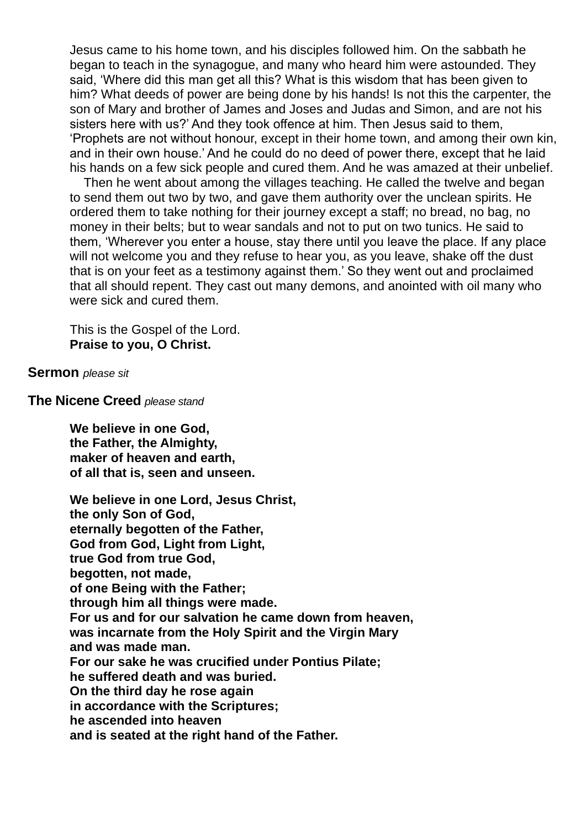Jesus came to his home town, and his disciples followed him. On the sabbath he began to teach in the synagogue, and many who heard him were astounded. They said, 'Where did this man get all this? What is this wisdom that has been given to him? What deeds of power are being done by his hands! Is not this the carpenter, the son of Mary and brother of James and Joses and Judas and Simon, and are not his sisters here with us?' And they took offence at him. Then Jesus said to them, 'Prophets are not without honour, except in their home town, and among their own kin, and in their own house.' And he could do no deed of power there, except that he laid his hands on a few sick people and cured them. And he was amazed at their unbelief.

 Then he went about among the villages teaching. He called the twelve and began to send them out two by two, and gave them authority over the unclean spirits. He ordered them to take nothing for their journey except a staff; no bread, no bag, no money in their belts; but to wear sandals and not to put on two tunics. He said to them, 'Wherever you enter a house, stay there until you leave the place. If any place will not welcome you and they refuse to hear you, as you leave, shake off the dust that is on your feet as a testimony against them.' So they went out and proclaimed that all should repent. They cast out many demons, and anointed with oil many who were sick and cured them.

This is the Gospel of the Lord. **Praise to you, O Christ.**

**Sermon** *please sit*

**The Nicene Creed** *please stand*

**We believe in one God, the Father, the Almighty, maker of heaven and earth, of all that is, seen and unseen.**

**We believe in one Lord, Jesus Christ, the only Son of God, eternally begotten of the Father, God from God, Light from Light, true God from true God, begotten, not made, of one Being with the Father; through him all things were made. For us and for our salvation he came down from heaven, was incarnate from the Holy Spirit and the Virgin Mary and was made man. For our sake he was crucified under Pontius Pilate; he suffered death and was buried. On the third day he rose again in accordance with the Scriptures; he ascended into heaven and is seated at the right hand of the Father.**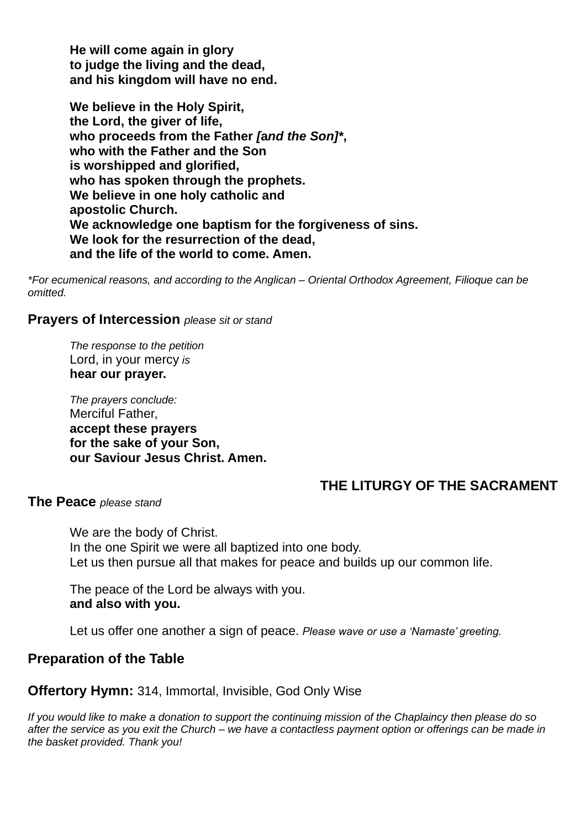**He will come again in glory to judge the living and the dead, and his kingdom will have no end.**

**We believe in the Holy Spirit, the Lord, the giver of life, who proceeds from the Father** *[***a***nd the Son]\****, who with the Father and the Son is worshipped and glorified, who has spoken through the prophets. We believe in one holy catholic and apostolic Church. We acknowledge one baptism for the forgiveness of sins. We look for the resurrection of the dead, and the life of the world to come. Amen.**

*\*For ecumenical reasons, and according to the Anglican – Oriental Orthodox Agreement, Filioque can be omitted.*

#### **Prayers of Intercession** *please sit or stand*

*The response to the petition* Lord, in your mercy *is* **hear our prayer.**

*The prayers conclude:*  Merciful Father, **accept these prayers for the sake of your Son, our Saviour Jesus Christ. Amen.**

# **THE LITURGY OF THE SACRAMENT**

**The Peace** *please stand*

We are the body of Christ. In the one Spirit we were all baptized into one body. Let us then pursue all that makes for peace and builds up our common life.

The peace of the Lord be always with you. **and also with you.**

Let us offer one another a sign of peace. *Please wave or use a 'Namaste' greeting.*

### **Preparation of the Table**

**Offertory Hymn:** 314, Immortal, Invisible, God Only Wise

*If you would like to make a donation to support the continuing mission of the Chaplaincy then please do so after the service as you exit the Church – we have a contactless payment option or offerings can be made in the basket provided. Thank you!*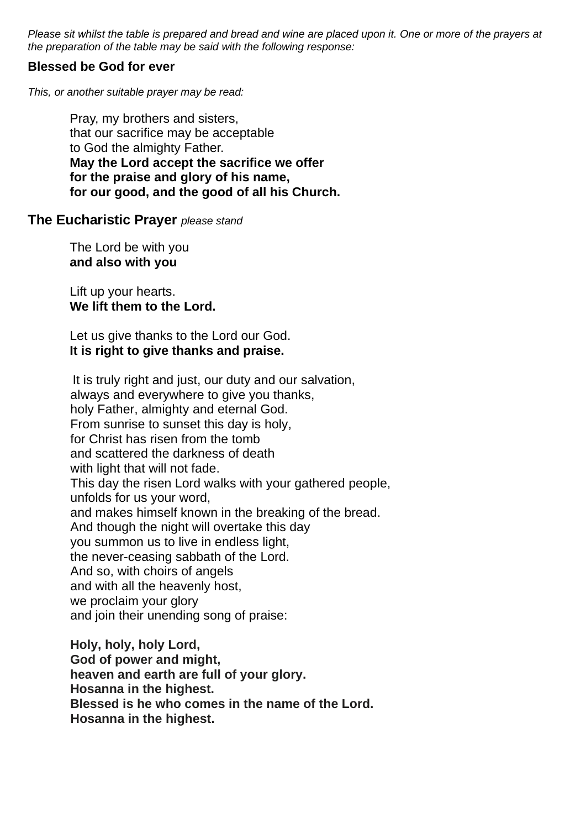*Please sit whilst the table is prepared and bread and wine are placed upon it. One or more of the prayers at the preparation of the table may be said with the following response:*

#### **Blessed be God for ever**

*This, or another suitable prayer may be read:*

Pray, my brothers and sisters, that our sacrifice may be acceptable to God the almighty Father. **May the Lord accept the sacrifice we offer for the praise and glory of his name, for our good, and the good of all his Church.**

#### **The Eucharistic Prayer** *please stand*

The Lord be with you **and also with you**

Lift up your hearts. **We lift them to the Lord.**

Let us give thanks to the Lord our God. **It is right to give thanks and praise.**

It is truly right and just, our duty and our salvation, always and everywhere to give you thanks, holy Father, almighty and eternal God. From sunrise to sunset this day is holy, for Christ has risen from the tomb and scattered the darkness of death with light that will not fade. This day the risen Lord walks with your gathered people, unfolds for us your word, and makes himself known in the breaking of the bread. And though the night will overtake this day you summon us to live in endless light, the never-ceasing sabbath of the Lord. And so, with choirs of angels and with all the heavenly host, we proclaim your glory and join their unending song of praise:

 **Holy, holy, holy Lord, God of power and might, heaven and earth are full of your glory. Hosanna in the highest. Blessed is he who comes in the name of the Lord. Hosanna in the highest.**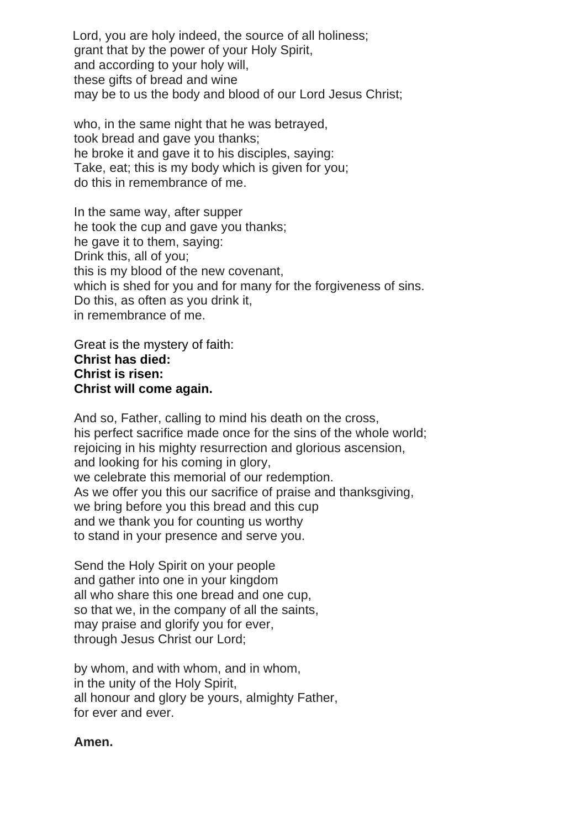Lord, you are holy indeed, the source of all holiness; grant that by the power of your Holy Spirit, and according to your holy will, these gifts of bread and wine may be to us the body and blood of our Lord Jesus Christ;

 who, in the same night that he was betrayed, took bread and gave you thanks; he broke it and gave it to his disciples, saying: Take, eat; this is my body which is given for you; do this in remembrance of me.

 In the same way, after supper he took the cup and gave you thanks; he gave it to them, saying: Drink this, all of you; this is my blood of the new covenant, which is shed for you and for many for the forgiveness of sins. Do this, as often as you drink it, in remembrance of me.

 Great is the mystery of faith: **Christ has died: Christ is risen: Christ will come again.**

 And so, Father, calling to mind his death on the cross, his perfect sacrifice made once for the sins of the whole world; rejoicing in his mighty resurrection and glorious ascension. and looking for his coming in glory, we celebrate this memorial of our redemption. As we offer you this our sacrifice of praise and thanksgiving. we bring before you this bread and this cup and we thank you for counting us worthy to stand in your presence and serve you.

 Send the Holy Spirit on your people and gather into one in your kingdom all who share this one bread and one cup, so that we, in the company of all the saints, may praise and glorify you for ever, through Jesus Christ our Lord;

 by whom, and with whom, and in whom, in the unity of the Holy Spirit, all honour and glory be yours, almighty Father, for ever and ever.

# **Amen.**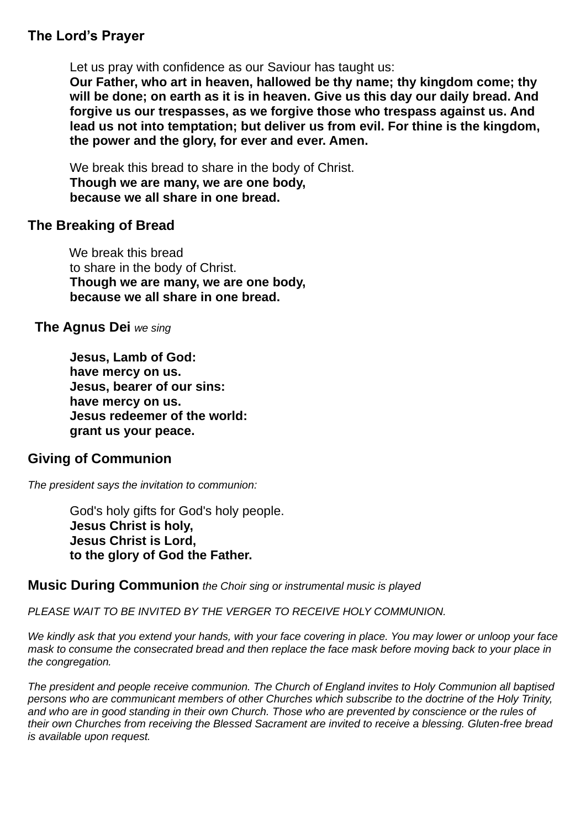# **The Lord's Prayer**

Let us pray with confidence as our Saviour has taught us:

**Our Father, who art in heaven, hallowed be thy name; thy kingdom come; thy will be done; on earth as it is in heaven. Give us this day our daily bread. And forgive us our trespasses, as we forgive those who trespass against us. And lead us not into temptation; but deliver us from evil. For thine is the kingdom, the power and the glory, for ever and ever. Amen.**

We break this bread to share in the body of Christ. **Though we are many, we are one body, because we all share in one bread.**

# **The Breaking of Bread**

We break this bread to share in the body of Christ. **Though we are many, we are one body, because we all share in one bread.**

**The Agnus Dei** *we sing*

**Jesus, Lamb of God: have mercy on us. Jesus, bearer of our sins: have mercy on us. Jesus redeemer of the world: grant us your peace.**

# **Giving of Communion**

*The president says the invitation to communion:*

God's holy gifts for God's holy people. **Jesus Christ is holy, Jesus Christ is Lord, to the glory of God the Father.**

#### **Music During Communion** *the Choir sing or instrumental music is played*

*PLEASE WAIT TO BE INVITED BY THE VERGER TO RECEIVE HOLY COMMUNION.*

*We kindly ask that you extend your hands, with your face covering in place. You may lower or unloop your face mask to consume the consecrated bread and then replace the face mask before moving back to your place in the congregation.*

*The president and people receive communion. The Church of England invites to Holy Communion all baptised persons who are communicant members of other Churches which subscribe to the doctrine of the Holy Trinity, and who are in good standing in their own Church. Those who are prevented by conscience or the rules of their own Churches from receiving the Blessed Sacrament are invited to receive a blessing. Gluten-free bread is available upon request.*